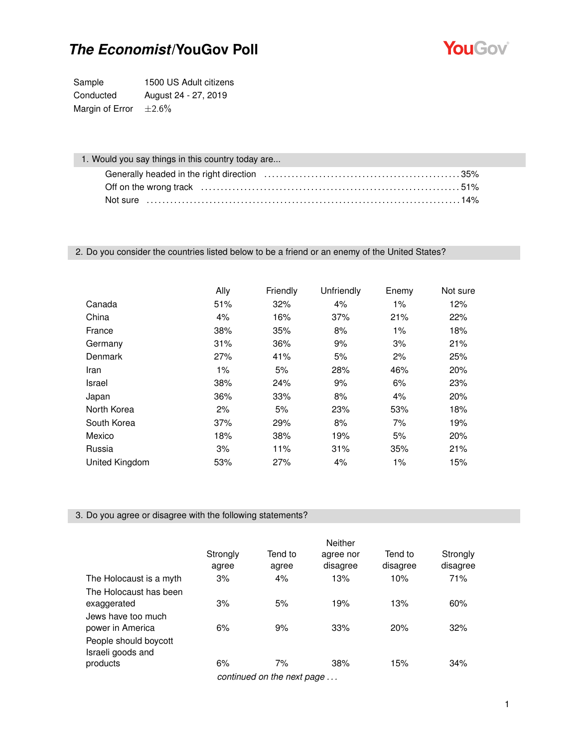

Sample 1500 US Adult citizens Conducted August 24 - 27, 2019 Margin of Error  $\pm 2.6\%$ 

| 1. Would you say things in this country today are |  |
|---------------------------------------------------|--|
|                                                   |  |
|                                                   |  |
|                                                   |  |

### 2. Do you consider the countries listed below to be a friend or an enemy of the United States?

|                | Ally  | Friendly | Unfriendly | Enemy | Not sure |
|----------------|-------|----------|------------|-------|----------|
| Canada         | 51%   | 32%      | 4%         | $1\%$ | 12%      |
| China          | 4%    | 16%      | 37%        | 21%   | 22%      |
| France         | 38%   | 35%      | 8%         | $1\%$ | 18%      |
| Germany        | 31%   | 36%      | 9%         | 3%    | 21%      |
| Denmark        | 27%   | 41%      | 5%         | 2%    | 25%      |
| Iran           | $1\%$ | 5%       | 28%        | 46%   | 20%      |
| Israel         | 38%   | 24%      | 9%         | 6%    | 23%      |
| Japan          | 36%   | 33%      | 8%         | 4%    | 20%      |
| North Korea    | 2%    | 5%       | 23%        | 53%   | 18%      |
| South Korea    | 37%   | 29%      | 8%         | 7%    | 19%      |
| Mexico         | 18%   | 38%      | 19%        | 5%    | 20%      |
| Russia         | 3%    | 11%      | 31%        | 35%   | 21%      |
| United Kingdom | 53%   | 27%      | 4%         | 1%    | 15%      |

### 3. Do you agree or disagree with the following statements?

|                                                        | Strongly<br>agree | Tend to<br>agree           | <b>Neither</b><br>agree nor<br>disagree | Tend to<br>disagree | Strongly<br>disagree |
|--------------------------------------------------------|-------------------|----------------------------|-----------------------------------------|---------------------|----------------------|
| The Holocaust is a myth                                | 3%                | 4%                         | 13%                                     | 10%                 | 71%                  |
| The Holocaust has been<br>exaggerated                  | 3%                | 5%                         | 19%                                     | 13%                 | 60%                  |
| Jews have too much<br>power in America                 | 6%                | 9%                         | 33%                                     | 20%                 | 32%                  |
| People should boycott<br>Israeli goods and<br>products | 6%                | 7%                         | 38%                                     | 15%                 | 34%                  |
|                                                        |                   | continued on the next page |                                         |                     |                      |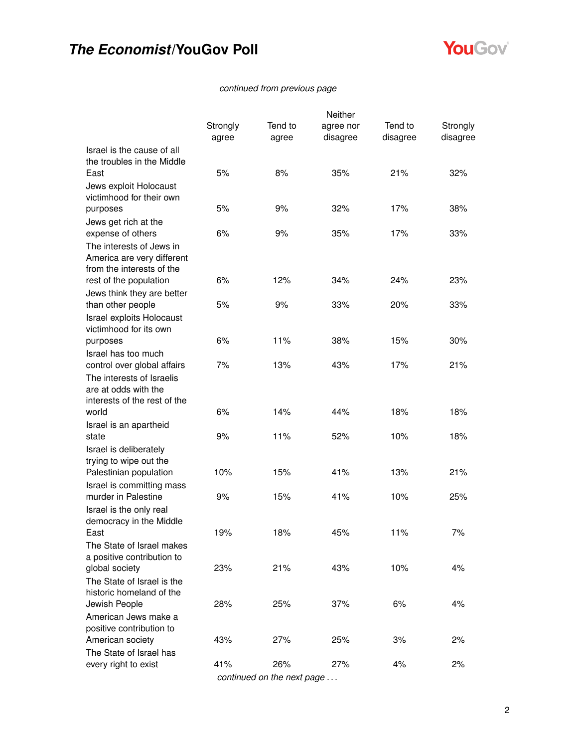

### *continued from previous page*

|                                                        |          |                            | Neither   |          |          |
|--------------------------------------------------------|----------|----------------------------|-----------|----------|----------|
|                                                        | Strongly | Tend to                    | agree nor | Tend to  | Strongly |
|                                                        | agree    | agree                      | disagree  | disagree | disagree |
| Israel is the cause of all                             |          |                            |           |          |          |
| the troubles in the Middle                             |          |                            |           |          |          |
| East                                                   | 5%       | 8%                         | 35%       | 21%      | 32%      |
| Jews exploit Holocaust                                 |          |                            |           |          |          |
| victimhood for their own                               |          |                            |           |          |          |
| purposes                                               | 5%       | 9%                         | 32%       | 17%      | 38%      |
| Jews get rich at the                                   |          |                            |           |          |          |
| expense of others                                      | 6%       | 9%                         | 35%       | 17%      | 33%      |
| The interests of Jews in<br>America are very different |          |                            |           |          |          |
| from the interests of the                              |          |                            |           |          |          |
| rest of the population                                 | 6%       | 12%                        | 34%       | 24%      | 23%      |
| Jews think they are better                             |          |                            |           |          |          |
| than other people                                      | 5%       | 9%                         | 33%       | 20%      | 33%      |
| Israel exploits Holocaust                              |          |                            |           |          |          |
| victimhood for its own                                 |          |                            |           |          |          |
| purposes                                               | 6%       | 11%                        | 38%       | 15%      | 30%      |
| Israel has too much                                    |          |                            |           |          |          |
| control over global affairs                            | 7%       | 13%                        | 43%       | 17%      | 21%      |
| The interests of Israelis                              |          |                            |           |          |          |
| are at odds with the                                   |          |                            |           |          |          |
| interests of the rest of the                           |          |                            |           |          |          |
| world                                                  | 6%       | 14%                        | 44%       | 18%      | 18%      |
| Israel is an apartheid                                 |          |                            |           |          |          |
| state                                                  | 9%       | 11%                        | 52%       | 10%      | 18%      |
| Israel is deliberately                                 |          |                            |           |          |          |
| trying to wipe out the<br>Palestinian population       | 10%      | 15%                        | 41%       | 13%      | 21%      |
| Israel is committing mass                              |          |                            |           |          |          |
| murder in Palestine                                    | 9%       | 15%                        | 41%       | 10%      | 25%      |
| Israel is the only real                                |          |                            |           |          |          |
| democracy in the Middle                                |          |                            |           |          |          |
| East                                                   | 19%      | 18%                        | 45%       | 11%      | 7%       |
| The State of Israel makes                              |          |                            |           |          |          |
| a positive contribution to                             |          |                            |           |          |          |
| global society                                         | 23%      | 21%                        | 43%       | 10%      | 4%       |
| The State of Israel is the                             |          |                            |           |          |          |
| historic homeland of the                               |          |                            |           |          |          |
| Jewish People                                          | 28%      | 25%                        | 37%       | 6%       | 4%       |
| American Jews make a                                   |          |                            |           |          |          |
| positive contribution to                               |          |                            |           |          |          |
| American society                                       | 43%      | 27%                        | 25%       | 3%       | 2%       |
| The State of Israel has                                |          |                            |           |          |          |
| every right to exist                                   | 41%      | 26%                        | 27%       | 4%       | 2%       |
|                                                        |          | continued on the next page |           |          |          |

2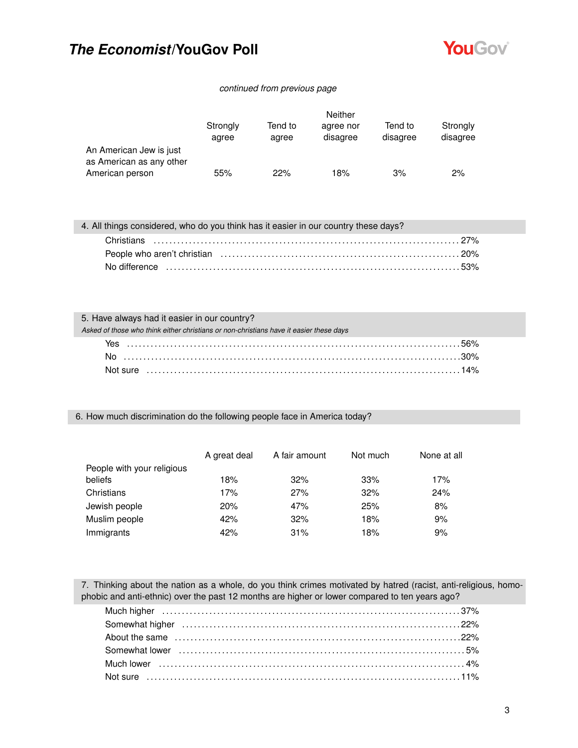

#### *continued from previous page*

|                                                     | <b>Neither</b>    |                  |                       |                     |                      |
|-----------------------------------------------------|-------------------|------------------|-----------------------|---------------------|----------------------|
|                                                     | Strongly<br>agree | Tend to<br>agree | agree nor<br>disagree | Tend to<br>disagree | Strongly<br>disagree |
| An American Jew is just<br>as American as any other |                   |                  |                       |                     |                      |
| American person                                     | 55%               | 22%              | 18%                   | 3%                  | 2%                   |

4. All things considered, who do you think has it easier in our country these days?

#### 5. Have always had it easier in our country?

| Asked of those who think either christians or non-christians have it easier these days |  |
|----------------------------------------------------------------------------------------|--|
|                                                                                        |  |
|                                                                                        |  |
|                                                                                        |  |

#### 6. How much discrimination do the following people face in America today?

|                            | A great deal | A fair amount | Not much | None at all |
|----------------------------|--------------|---------------|----------|-------------|
| People with your religious |              |               |          |             |
| beliefs                    | 18%          | 32%           | 33%      | 17%         |
| Christians                 | 17%          | 27%           | 32%      | 24%         |
| Jewish people              | 20%          | 47%           | 25%      | 8%          |
| Muslim people              | 42%          | 32%           | 18%      | 9%          |
| Immigrants                 | 42%          | 31%           | 18%      | 9%          |

7. Thinking about the nation as a whole, do you think crimes motivated by hatred (racist, anti-religious, homophobic and anti-ethnic) over the past 12 months are higher or lower compared to ten years ago?

| Somewhat lower (a) contain the control of the state of the state of the state of the state of the state of the state of the state of the state of the state of the state of the state of the state of the state of the state o |  |
|--------------------------------------------------------------------------------------------------------------------------------------------------------------------------------------------------------------------------------|--|
|                                                                                                                                                                                                                                |  |
|                                                                                                                                                                                                                                |  |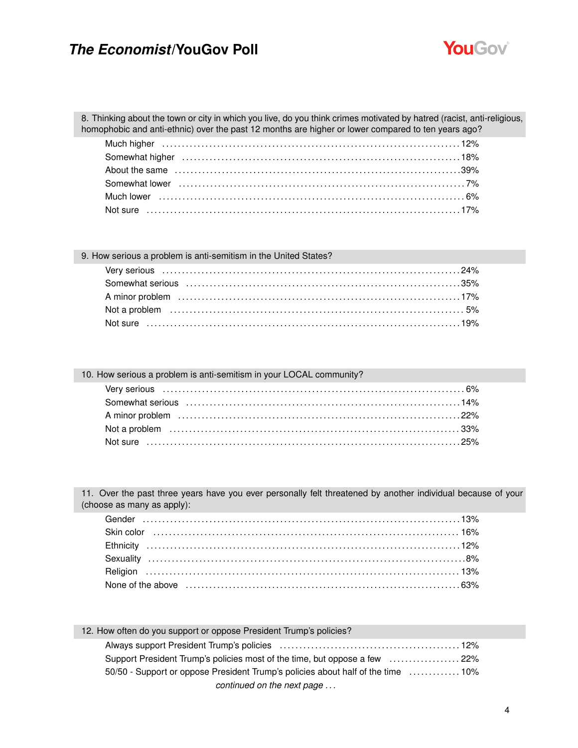

8. Thinking about the town or city in which you live, do you think crimes motivated by hatred (racist, anti-religious, homophobic and anti-ethnic) over the past 12 months are higher or lower compared to ten years ago?

| 9. How serious a problem is anti-semitism in the United States?                                                                                                                                                                |  |
|--------------------------------------------------------------------------------------------------------------------------------------------------------------------------------------------------------------------------------|--|
|                                                                                                                                                                                                                                |  |
| Somewhat serious (a) and the context of the context of the context of the context of the serious context of the solution of the series of the series of the series of the series of the series of the series of the series of  |  |
| A minor problem (a) and the control of the control of the control of the control of the control of the control of the control of the control of the control of the control of the control of the control of the control of the |  |
|                                                                                                                                                                                                                                |  |
|                                                                                                                                                                                                                                |  |

| 10. How serious a problem is anti-semitism in your LOCAL community?                                                                                                                                                            |  |
|--------------------------------------------------------------------------------------------------------------------------------------------------------------------------------------------------------------------------------|--|
|                                                                                                                                                                                                                                |  |
| Somewhat serious (a) and the context of the context of the context of the context of the serious (14%                                                                                                                          |  |
| A minor problem (a) and the contract of the contract of the contract of the contract of the contract of the contract of the contract of the contract of the contract of the contract of the contract of the contract of the co |  |
|                                                                                                                                                                                                                                |  |
|                                                                                                                                                                                                                                |  |

11. Over the past three years have you ever personally felt threatened by another individual because of your (choose as many as apply):

| Skin color (a) 16% (Skin color (a) 16% (Skin color (a) 16% (Skin color (a) 16% (Skin color (a) $16\%$       |  |
|-------------------------------------------------------------------------------------------------------------|--|
|                                                                                                             |  |
|                                                                                                             |  |
|                                                                                                             |  |
| None of the above measure in the state of the above measure in the state of the above measurement of $63\%$ |  |

| 12. How often do you support or oppose President Trump's policies?              |
|---------------------------------------------------------------------------------|
|                                                                                 |
| Support President Trump's policies most of the time, but oppose a few 22%       |
| 50/50 - Support or oppose President Trump's policies about half of the time 10% |
| continued on the next page                                                      |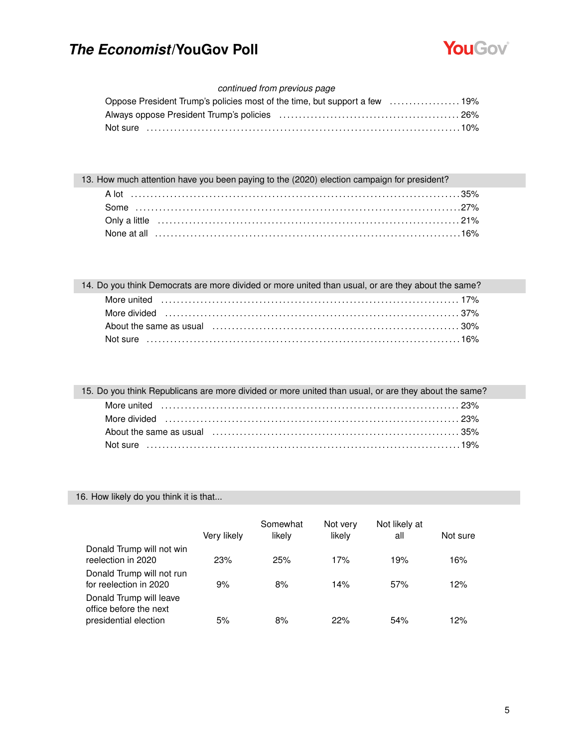

### *continued from previous page*

### 13. How much attention have you been paying to the (2020) election campaign for president?

| 14. Do you think Democrats are more divided or more united than usual, or are they about the same? |
|----------------------------------------------------------------------------------------------------|
|                                                                                                    |
|                                                                                                    |
|                                                                                                    |
|                                                                                                    |

| 15. Do you think Republicans are more divided or more united than usual, or are they about the same?                 |
|----------------------------------------------------------------------------------------------------------------------|
|                                                                                                                      |
|                                                                                                                      |
| About the same as usual (equation in the contract of the same state of the same as usual equation of the same $35\%$ |
|                                                                                                                      |

### 16. How likely do you think it is that...

|                                                                            | Very likely | Somewhat<br>likely | Not very<br>likely | Not likely at<br>all | Not sure |
|----------------------------------------------------------------------------|-------------|--------------------|--------------------|----------------------|----------|
| Donald Trump will not win<br>reelection in 2020                            | 23%         | 25%                | 17%                | 19%                  | 16%      |
| Donald Trump will not run<br>for reelection in 2020                        | 9%          | 8%                 | 14%                | 57%                  | 12%      |
| Donald Trump will leave<br>office before the next<br>presidential election | 5%          | 8%                 | 22%                | 54%                  | 12%      |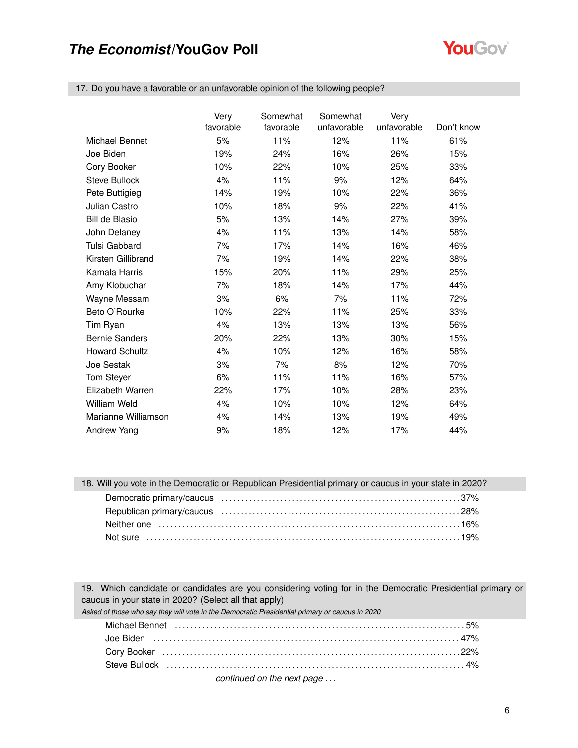

17. Do you have a favorable or an unfavorable opinion of the following people?

|                       | Very      | Somewhat  | Somewhat    | Very        |            |
|-----------------------|-----------|-----------|-------------|-------------|------------|
|                       | favorable | favorable | unfavorable | unfavorable | Don't know |
| Michael Bennet        | 5%        | 11%       | 12%         | 11%         | 61%        |
| Joe Biden             | 19%       | 24%       | 16%         | 26%         | 15%        |
| Cory Booker           | 10%       | 22%       | 10%         | 25%         | 33%        |
| <b>Steve Bullock</b>  | 4%        | 11%       | 9%          | 12%         | 64%        |
| Pete Buttigieg        | 14%       | 19%       | 10%         | 22%         | 36%        |
| <b>Julian Castro</b>  | 10%       | 18%       | 9%          | 22%         | 41%        |
| <b>Bill de Blasio</b> | 5%        | 13%       | 14%         | 27%         | 39%        |
| John Delaney          | 4%        | 11%       | 13%         | 14%         | 58%        |
| <b>Tulsi Gabbard</b>  | 7%        | 17%       | 14%         | 16%         | 46%        |
| Kirsten Gillibrand    | 7%        | 19%       | 14%         | 22%         | 38%        |
| Kamala Harris         | 15%       | 20%       | 11%         | 29%         | 25%        |
| Amy Klobuchar         | 7%        | 18%       | 14%         | 17%         | 44%        |
| Wayne Messam          | 3%        | 6%        | 7%          | 11%         | 72%        |
| Beto O'Rourke         | 10%       | 22%       | 11%         | 25%         | 33%        |
| Tim Ryan              | 4%        | 13%       | 13%         | 13%         | 56%        |
| <b>Bernie Sanders</b> | 20%       | 22%       | 13%         | 30%         | 15%        |
| <b>Howard Schultz</b> | 4%        | 10%       | 12%         | 16%         | 58%        |
| Joe Sestak            | 3%        | 7%        | 8%          | 12%         | 70%        |
| Tom Steyer            | 6%        | 11%       | 11%         | 16%         | 57%        |
| Elizabeth Warren      | 22%       | 17%       | 10%         | 28%         | 23%        |
| William Weld          | 4%        | 10%       | 10%         | 12%         | 64%        |
| Marianne Williamson   | 4%        | 14%       | 13%         | 19%         | 49%        |
| Andrew Yang           | 9%        | 18%       | 12%         | 17%         | 44%        |

#### 18. Will you vote in the Democratic or Republican Presidential primary or caucus in your state in 2020?

19. Which candidate or candidates are you considering voting for in the Democratic Presidential primary or caucus in your state in 2020? (Select all that apply)

*Asked of those who say they will vote in the Democratic Presidential primary or caucus in 2020*

| Michael Bennet (and the continuum of the control of the state of the state of the state of the state of the state of the state of the state of the state of the state of the state of the state of the state of the state of t |  |
|--------------------------------------------------------------------------------------------------------------------------------------------------------------------------------------------------------------------------------|--|
|                                                                                                                                                                                                                                |  |
|                                                                                                                                                                                                                                |  |
| Steve Bullock (all all all the control of the control of the control of the control of the control of the control of the control of the control of the control of the control of the control of the control of the control of  |  |

*continued on the next page . . .*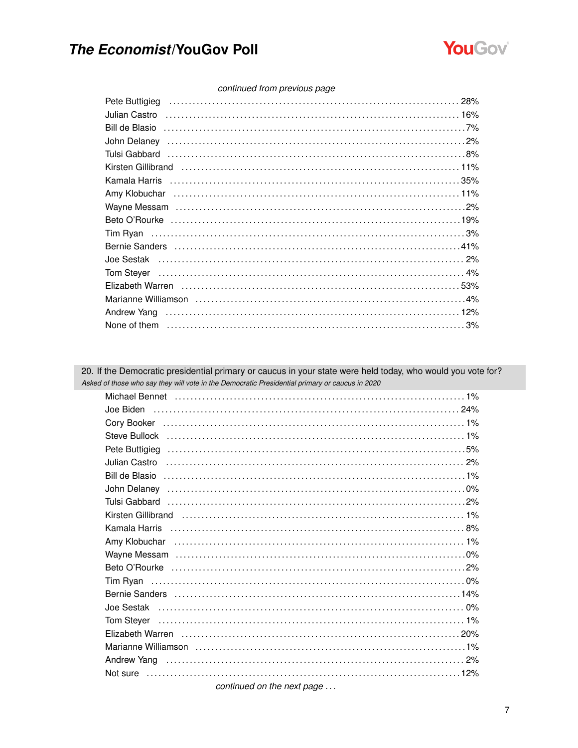

#### continued from previous page

| Kirsten Gillibrand (and the control of the control of the control of the control of the control of the control of the control of the control of the control of the control of the control of the control of the control of the |  |
|--------------------------------------------------------------------------------------------------------------------------------------------------------------------------------------------------------------------------------|--|
| Kamala Harris (1111) 1978 (2010) 1978 (2010) 1978 (2010) 1978 (2010) 1979 (2010) 1979 (2010) 1979 (2010) 1979 (                                                                                                                |  |
|                                                                                                                                                                                                                                |  |
|                                                                                                                                                                                                                                |  |
|                                                                                                                                                                                                                                |  |
|                                                                                                                                                                                                                                |  |
|                                                                                                                                                                                                                                |  |
|                                                                                                                                                                                                                                |  |
| Tom Steyer (a) and the state of the state of the state of the state of the state of the state of the state of the state of the state of the state of the state of the state of the state of the state of the state of the stat |  |
|                                                                                                                                                                                                                                |  |
| Marianne Williamson (and according to the control of the window of the window of the window of the window of the window of the window of the window of the window of the window of the window of the window of the window of t |  |
|                                                                                                                                                                                                                                |  |
|                                                                                                                                                                                                                                |  |

20. If the Democratic presidential primary or caucus in your state were held today, who would you vote for? Asked of those who say they will vote in the Democratic Presidential primary or caucus in 2020 Michael Bennet entertainment of the control of the control of the control of the Michael Bennet entertainment Pete Buttigieg (and according to the control of the control of the control of the control of the control of the control of the control of the control of the control of the control of the control of the control of the contr Bill de Blasio …………………………………………………………………………………1% Kirsten Gillibrand (and the context of the context of the context of the context of the context of the context of the context of the context of the context of the context of the context of the context of the context of the Bernie Sanders (and the control of the control of the control of the control of the control of the control of the control of the control of the control of the control of the control of the control of the control of the con Tom Stever Elizabeth Warren (1111) 20% (20%) and the control of the control of the control of the control of the control o Not sure ……………………………………………………………………………………12% continued on the next page ...

 $\overline{7}$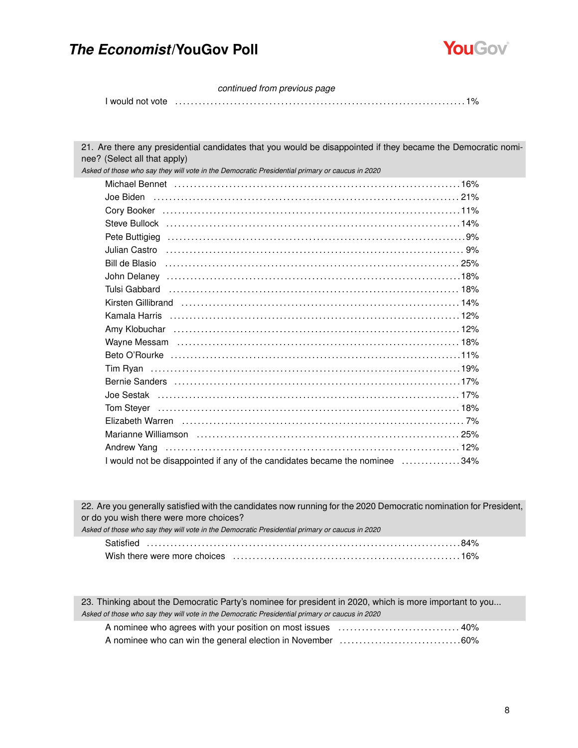

*continued from previous page*

I would not vote . . . . . . . . . . . . . . . . . . . . . . . . . . . . . . . . . . . . . . . . . . . . . . . . . . . . . . . . . . . . . . . . . . . . . . . . . . 1%

21. Are there any presidential candidates that you would be disappointed if they became the Democratic nominee? (Select all that apply) *Asked of those who say they will vote in the Democratic Presidential primary or caucus in 2020* Michael Bennet . . . . . . . . . . . . . . . . . . . . . . . . . . . . . . . . . . . . . . . . . . . . . . . . . . . . . . . . . . . . . . . . . . . . . . . . . 16% Joe Biden . . . . . . . . . . . . . . . . . . . . . . . . . . . . . . . . . . . . . . . . . . . . . . . . . . . . . . . . . . . . . . . . . . . . . . . . . . . . . . 21% Cory Booker . . . . . . . . . . . . . . . . . . . . . . . . . . . . . . . . . . . . . . . . . . . . . . . . . . . . . . . . . . . . . . . . . . . . . . . . . . . . 11% Steve Bullock . . . . . . . . . . . . . . . . . . . . . . . . . . . . . . . . . . . . . . . . . . . . . . . . . . . . . . . . . . . . . . . . . . . . . . . . . . . 14% Pete Buttigieg . . . . . . . . . . . . . . . . . . . . . . . . . . . . . . . . . . . . . . . . . . . . . . . . . . . . . . . . . . . . . . . . . . . . . . . . . . . . 9% Julian Castro . . . . . . . . . . . . . . . . . . . . . . . . . . . . . . . . . . . . . . . . . . . . . . . . . . . . . . . . . . . . . . . . . . . . . . . . . . . . 9% Bill de Blasio . . . . . . . . . . . . . . . . . . . . . . . . . . . . . . . . . . . . . . . . . . . . . . . . . . . . . . . . . . . . . . . . . . . . . . . . . . . 25% John Delaney . . . . . . . . . . . . . . . . . . . . . . . . . . . . . . . . . . . . . . . . . . . . . . . . . . . . . . . . . . . . . . . . . . . . . . . . . . .18% Tulsi Gabbard . . . . . . . . . . . . . . . . . . . . . . . . . . . . . . . . . . . . . . . . . . . . . . . . . . . . . . . . . . . . . . . . . . . . . . . . . . 18% Kirsten Gillibrand . . . . . . . . . . . . . . . . . . . . . . . . . . . . . . . . . . . . . . . . . . . . . . . . . . . . . . . . . . . . . . . . . . . . . . . 14% Kamala Harris . . . . . . . . . . . . . . . . . . . . . . . . . . . . . . . . . . . . . . . . . . . . . . . . . . . . . . . . . . . . . . . . . . . . . . . . . . 12% Amy Klobuchar . . . . . . . . . . . . . . . . . . . . . . . . . . . . . . . . . . . . . . . . . . . . . . . . . . . . . . . . . . . . . . . . . . . . . . . . . 12% Wayne Messam . . . . . . . . . . . . . . . . . . . . . . . . . . . . . . . . . . . . . . . . . . . . . . . . . . . . . . . . . . . . . . . . . . . . . . . . 18% Beto O'Rourke . . . . . . . . . . . . . . . . . . . . . . . . . . . . . . . . . . . . . . . . . . . . . . . . . . . . . . . . . . . . . . . . . . . . . . . . . .11% Tim Ryan . . . . . . . . . . . . . . . . . . . . . . . . . . . . . . . . . . . . . . . . . . . . . . . . . . . . . . . . . . . . . . . . . . . . . . . . . . . . . . . 19% Bernie Sanders . . . . . . . . . . . . . . . . . . . . . . . . . . . . . . . . . . . . . . . . . . . . . . . . . . . . . . . . . . . . . . . . . . . . . . . . . 17% Joe Sestak . . . . . . . . . . . . . . . . . . . . . . . . . . . . . . . . . . . . . . . . . . . . . . . . . . . . . . . . . . . . . . . . . . . . . . . . . . . . . 17% Tom Steyer . . . . . . . . . . . . . . . . . . . . . . . . . . . . . . . . . . . . . . . . . . . . . . . . . . . . . . . . . . . . . . . . . . . . . . . . . . . . . 18% Elizabeth Warren . . . . . . . . . . . . . . . . . . . . . . . . . . . . . . . . . . . . . . . . . . . . . . . . . . . . . . . . . . . . . . . . . . . . . . . . 7% Marianne Williamson . . . . . . . . . . . . . . . . . . . . . . . . . . . . . . . . . . . . . . . . . . . . . . . . . . . . . . . . . . . . . . . . . . . 25% Andrew Yang . . . . . . . . . . . . . . . . . . . . . . . . . . . . . . . . . . . . . . . . . . . . . . . . . . . . . . . . . . . . . . . . . . . . . . . . . . . 12% I would not be disappointed if any of the candidates became the nominee . . . . . . . . . . . . . . . 34%

22. Are you generally satisfied with the candidates now running for the 2020 Democratic nomination for President, or do you wish there were more choices?

| Asked of those who say they will vote in the Democratic Presidential primary or caucus in 2020 |
|------------------------------------------------------------------------------------------------|
|                                                                                                |
|                                                                                                |

23. Thinking about the Democratic Party's nominee for president in 2020, which is more important to you... *Asked of those who say they will vote in the Democratic Presidential primary or caucus in 2020* A nominee who agrees with your position on most issues . . . . . . . . . . . . . . . . . . . . . . . . . . . . . . . 40% A nominee who can win the general election in November . . . . . . . . . . . . . . . . . . . . . . . . . . . . . . .60%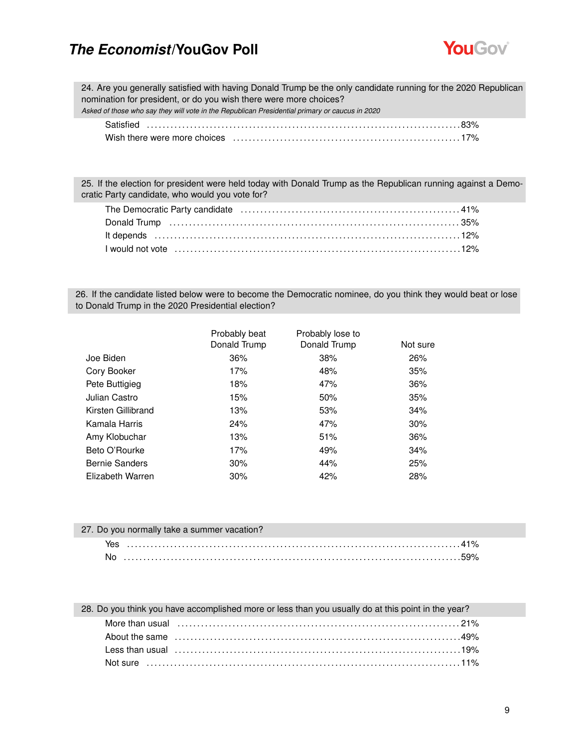

24. Are you generally satisfied with having Donald Trump be the only candidate running for the 2020 Republican nomination for president, or do you wish there were more choices?

*Asked of those who say they will vote in the Republican Presidential primary or caucus in 2020*

25. If the election for president were held today with Donald Trump as the Republican running against a Democratic Party candidate, who would you vote for?

26. If the candidate listed below were to become the Democratic nominee, do you think they would beat or lose to Donald Trump in the 2020 Presidential election?

|                       | Probably beat<br>Donald Trump | Probably lose to<br>Donald Trump | Not sure |
|-----------------------|-------------------------------|----------------------------------|----------|
| Joe Biden             | 36%                           | 38%                              | 26%      |
| Cory Booker           | 17%                           | 48%                              | 35%      |
| Pete Buttigieg        | 18%                           | 47%                              | 36%      |
| Julian Castro         | 15%                           | 50%                              | 35%      |
| Kirsten Gillibrand    | 13%                           | 53%                              | 34%      |
| Kamala Harris         | 24%                           | 47%                              | 30%      |
| Amy Klobuchar         | 13%                           | 51%                              | 36%      |
| Beto O'Rourke         | 17%                           | 49%                              | 34%      |
| <b>Bernie Sanders</b> | 30%                           | 44%                              | 25%      |
| Elizabeth Warren      | 30%                           | 42%                              | 28%      |

| 27. Do you normally take a summer vacation? |  |
|---------------------------------------------|--|
|                                             |  |
|                                             |  |

#### 28. Do you think you have accomplished more or less than you usually do at this point in the year?

| More than usual encontractive contact that the contract of the contract of the contract of the contract of the                                                                                                                 |
|--------------------------------------------------------------------------------------------------------------------------------------------------------------------------------------------------------------------------------|
| About the same contained and the same contained a state of the same contained a state of the same contained a s                                                                                                                |
| Less than usual measure that contain the state of the state of the state of the state of the state of the state of the state of the state of the state of the state of the state of the state of the state of the state of the |
|                                                                                                                                                                                                                                |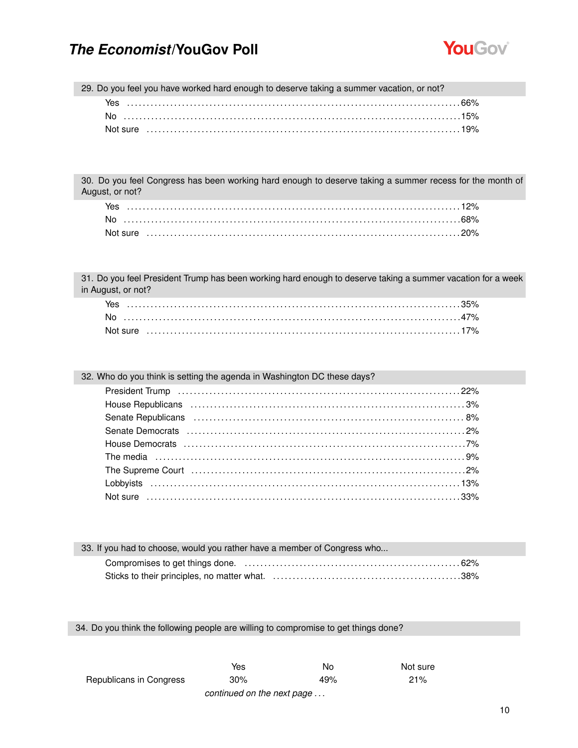

29. Do you feel you have worked hard enough to deserve taking a summer vacation, or not?

| Yes |  |
|-----|--|
|     |  |
|     |  |

30. Do you feel Congress has been working hard enough to deserve taking a summer recess for the month of August, or not?

31. Do you feel President Trump has been working hard enough to deserve taking a summer vacation for a week in August, or not?

32. Who do you think is setting the agenda in Washington DC these days?

| 33. If you had to choose, would you rather have a member of Congress who |
|--------------------------------------------------------------------------|
|                                                                          |
|                                                                          |

34. Do you think the following people are willing to compromise to get things done?

|                         | Yes                                                             | No  | Not sure |
|-------------------------|-----------------------------------------------------------------|-----|----------|
| Republicans in Congress | 30%                                                             | 49% | 21%      |
|                         | . The contract of the contract of the contract of $\mathcal{L}$ |     |          |

*continued on the next page . . .*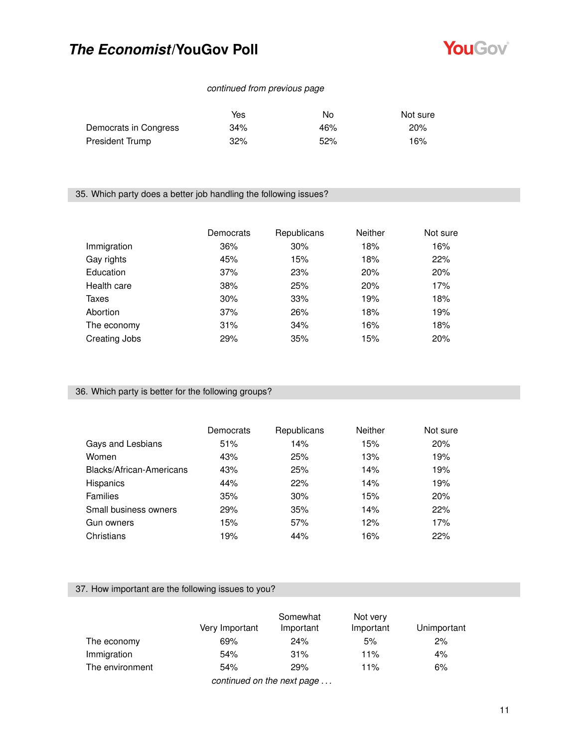

### *continued from previous page*

|                       | Yes    | No  | Not sure |
|-----------------------|--------|-----|----------|
| Democrats in Congress | $34\%$ | 46% | 20%      |
| President Trump       | 32%    | 52% | 16%      |

### 35. Which party does a better job handling the following issues?

|               | Democrats | Republicans | <b>Neither</b> | Not sure |
|---------------|-----------|-------------|----------------|----------|
| Immigration   | 36%       | 30%         | 18%            | 16%      |
| Gay rights    | 45%       | 15%         | 18%            | 22%      |
| Education     | 37%       | 23%         | 20%            | 20%      |
| Health care   | 38%       | 25%         | 20%            | 17%      |
| Taxes         | 30%       | 33%         | 19%            | 18%      |
| Abortion      | 37%       | 26%         | 18%            | 19%      |
| The economy   | 31%       | 34%         | 16%            | 18%      |
| Creating Jobs | 29%       | 35%         | 15%            | 20%      |

#### 36. Which party is better for the following groups?

|                          | Democrats | Republicans | <b>Neither</b> | Not sure |
|--------------------------|-----------|-------------|----------------|----------|
| Gays and Lesbians        | 51%       | 14%         | 15%            | 20%      |
| Women                    | 43%       | 25%         | 13%            | 19%      |
| Blacks/African-Americans | 43%       | 25%         | 14%            | 19%      |
| Hispanics                | 44%       | 22%         | 14%            | 19%      |
| <b>Families</b>          | 35%       | 30%         | 15%            | 20%      |
| Small business owners    | 29%       | 35%         | 14%            | 22%      |
| Gun owners               | 15%       | 57%         | 12%            | 17%      |
| Christians               | 19%       | 44%         | 16%            | 22%      |

### 37. How important are the following issues to you?

|                            | Very Important | Somewhat<br>Important | Not very<br>Important | Unimportant |  |  |
|----------------------------|----------------|-----------------------|-----------------------|-------------|--|--|
| The economy                | 69%            | 24%                   | 5%                    | 2%          |  |  |
| Immigration                | 54%            | 31%                   | 11%                   | 4%          |  |  |
| The environment            | 54%            | 29%                   | 11%                   | 6%          |  |  |
| continued on the next nage |                |                       |                       |             |  |  |

*continued on the next page . . .*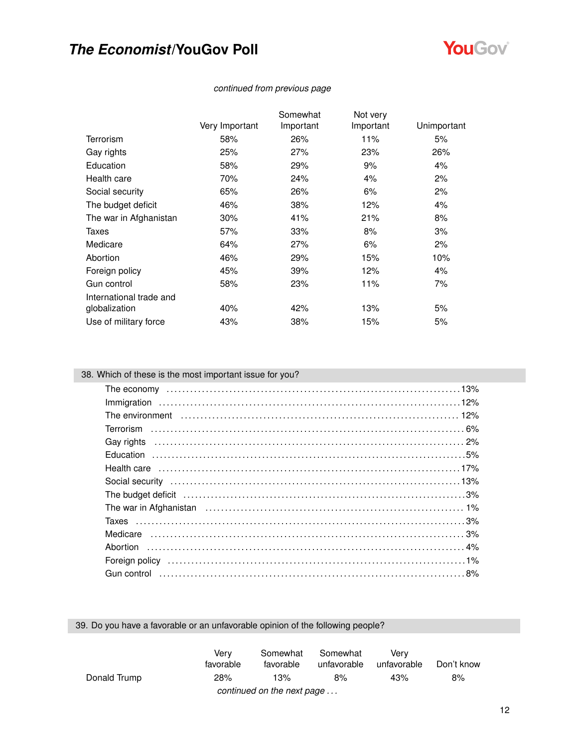

|                         |                | Somewhat  | Not very  |             |
|-------------------------|----------------|-----------|-----------|-------------|
|                         | Very Important | Important | Important | Unimportant |
| <b>Terrorism</b>        | 58%            | 26%       | 11%       | 5%          |
| Gay rights              | 25%            | 27%       | 23%       | 26%         |
| Education               | 58%            | 29%       | 9%        | 4%          |
| Health care             | 70%            | 24%       | 4%        | 2%          |
| Social security         | 65%            | 26%       | 6%        | 2%          |
| The budget deficit      | 46%            | 38%       | 12%       | 4%          |
| The war in Afghanistan  | 30%            | 41%       | 21%       | 8%          |
| Taxes                   | 57%            | 33%       | 8%        | 3%          |
| Medicare                | 64%            | 27%       | 6%        | 2%          |
| Abortion                | 46%            | 29%       | 15%       | 10%         |
| Foreign policy          | 45%            | 39%       | 12%       | 4%          |
| Gun control             | 58%            | 23%       | 11%       | 7%          |
| International trade and |                |           |           |             |
| globalization           | 40%            | 42%       | 13%       | 5%          |
| Use of military force   | 43%            | 38%       | 15%       | 5%          |
|                         |                |           |           |             |

### *continued from previous page*

### 38. Which of these is the most important issue for you?

| The environment (and the continuum control of the environment of the environment of the environment of the environment of the environment of the environment of the environment of the environment of the environment of the e |  |
|--------------------------------------------------------------------------------------------------------------------------------------------------------------------------------------------------------------------------------|--|
|                                                                                                                                                                                                                                |  |
| Gay rights (a) and the control of the control of the control of the control of the control of the control of the control of the control of the control of the control of the control of the control of the control of the cont |  |
|                                                                                                                                                                                                                                |  |
|                                                                                                                                                                                                                                |  |
|                                                                                                                                                                                                                                |  |
| The budget deficit (and according to the budget deficit (and according to the budget deficit (and according to the budget of $3\%$ )                                                                                           |  |
|                                                                                                                                                                                                                                |  |
|                                                                                                                                                                                                                                |  |
|                                                                                                                                                                                                                                |  |
|                                                                                                                                                                                                                                |  |
| Foreign policy (and according to the control of the control of the control of the control of the control of the control of the control of the control of the control of the control of the control of the control of the contr |  |
|                                                                                                                                                                                                                                |  |

### 39. Do you have a favorable or an unfavorable opinion of the following people?

|                            | Verv<br>favorable | Somewhat<br>favorable | Somewhat<br>unfavorable | Verv<br>unfavorable | Don't know |  |
|----------------------------|-------------------|-----------------------|-------------------------|---------------------|------------|--|
| Donald Trump               | 28%               | 13%                   | 8%                      | 43%                 | 8%         |  |
| continued on the next page |                   |                       |                         |                     |            |  |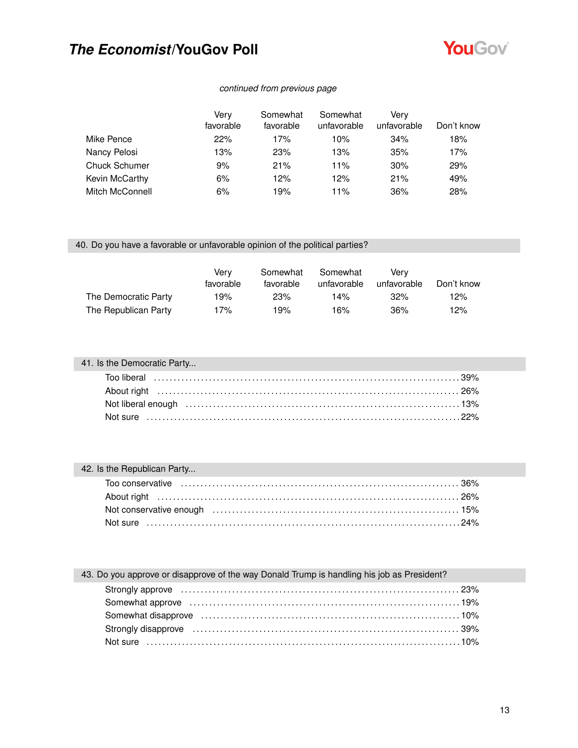

### *continued from previous page*

|                      | Verv      | Somewhat  | Somewhat    | Verv        |            |
|----------------------|-----------|-----------|-------------|-------------|------------|
|                      | favorable | favorable | unfavorable | unfavorable | Don't know |
| Mike Pence           | 22%       | 17%       | 10%         | 34%         | 18%        |
| Nancy Pelosi         | 13%       | 23%       | 13%         | 35%         | 17%        |
| <b>Chuck Schumer</b> | 9%        | 21%       | 11%         | 30%         | 29%        |
| Kevin McCarthy       | 6%        | 12%       | 12%         | 21%         | 49%        |
| Mitch McConnell      | 6%        | 19%       | 11%         | 36%         | 28%        |

### 40. Do you have a favorable or unfavorable opinion of the political parties?

|                      | Verv<br>favorable | Somewhat<br>favorable | Somewhat<br>unfavorable | Verv<br>unfavorable | Don't know |
|----------------------|-------------------|-----------------------|-------------------------|---------------------|------------|
| The Democratic Party | 19%               | 23%                   | 14%                     | 32%                 | 12%        |
| The Republican Party | 17%               | 19%                   | 16%                     | 36%                 | 12%        |

| 41. Is the Democratic Party |  |
|-----------------------------|--|
|                             |  |
|                             |  |
|                             |  |
|                             |  |

### 42. Is the Republican Party...

| 43. Do you approve or disapprove of the way Donald Trump is handling his job as President?                                                                                                                                     |  |
|--------------------------------------------------------------------------------------------------------------------------------------------------------------------------------------------------------------------------------|--|
|                                                                                                                                                                                                                                |  |
|                                                                                                                                                                                                                                |  |
|                                                                                                                                                                                                                                |  |
| Strongly disapprove material contracts and the strongly disapprove material contracts and the strongly disapprove material of the strong strong strong strong strong strong strong strong strong strong strong strong strong s |  |
|                                                                                                                                                                                                                                |  |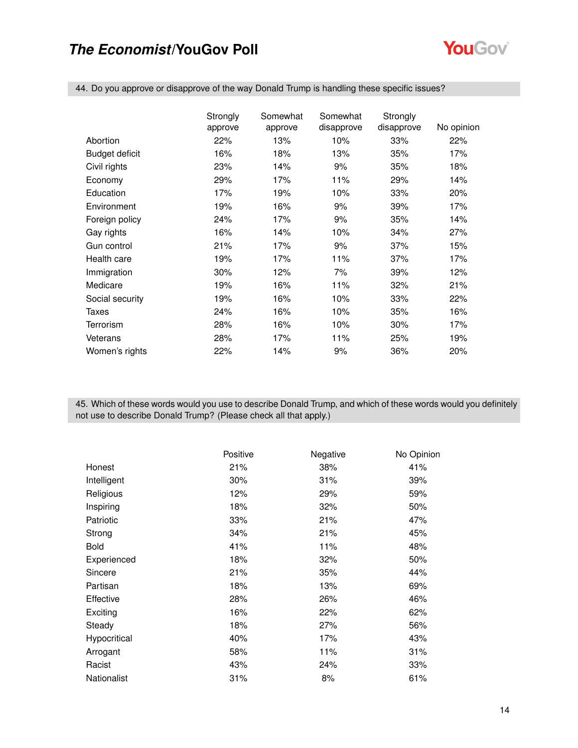

44. Do you approve or disapprove of the way Donald Trump is handling these specific issues?

|                 | Strongly | Somewhat | Somewhat   | Strongly   |            |
|-----------------|----------|----------|------------|------------|------------|
|                 | approve  | approve  | disapprove | disapprove | No opinion |
| Abortion        | 22%      | 13%      | 10%        | 33%        | 22%        |
| Budget deficit  | 16%      | 18%      | 13%        | 35%        | 17%        |
| Civil rights    | 23%      | 14%      | 9%         | 35%        | 18%        |
| Economy         | 29%      | 17%      | 11%        | 29%        | 14%        |
| Education       | 17%      | 19%      | 10%        | 33%        | 20%        |
| Environment     | 19%      | 16%      | 9%         | 39%        | 17%        |
| Foreign policy  | 24%      | 17%      | 9%         | 35%        | 14%        |
| Gay rights      | 16%      | 14%      | 10%        | 34%        | 27%        |
| Gun control     | 21%      | 17%      | 9%         | 37%        | 15%        |
| Health care     | 19%      | 17%      | 11%        | 37%        | 17%        |
| Immigration     | 30%      | 12%      | 7%         | 39%        | 12%        |
| Medicare        | 19%      | 16%      | 11%        | 32%        | 21%        |
| Social security | 19%      | 16%      | 10%        | 33%        | 22%        |
| Taxes           | 24%      | 16%      | 10%        | 35%        | 16%        |
| Terrorism       | 28%      | 16%      | 10%        | 30%        | 17%        |
| Veterans        | 28%      | 17%      | 11%        | 25%        | 19%        |
| Women's rights  | 22%      | 14%      | 9%         | 36%        | 20%        |

45. Which of these words would you use to describe Donald Trump, and which of these words would you definitely not use to describe Donald Trump? (Please check all that apply.)

|              | Positive | Negative | No Opinion |
|--------------|----------|----------|------------|
| Honest       | 21%      | 38%      | 41%        |
| Intelligent  | 30%      | 31%      | 39%        |
| Religious    | 12%      | 29%      | 59%        |
| Inspiring    | 18%      | 32%      | 50%        |
| Patriotic    | 33%      | 21%      | 47%        |
| Strong       | 34%      | 21%      | 45%        |
| <b>Bold</b>  | 41%      | 11%      | 48%        |
| Experienced  | 18%      | 32%      | 50%        |
| Sincere      | 21%      | 35%      | 44%        |
| Partisan     | 18%      | 13%      | 69%        |
| Effective    | 28%      | 26%      | 46%        |
| Exciting     | 16%      | 22%      | 62%        |
| Steady       | 18%      | 27%      | 56%        |
| Hypocritical | 40%      | 17%      | 43%        |
| Arrogant     | 58%      | 11%      | 31%        |
| Racist       | 43%      | 24%      | 33%        |
| Nationalist  | 31%      | 8%       | 61%        |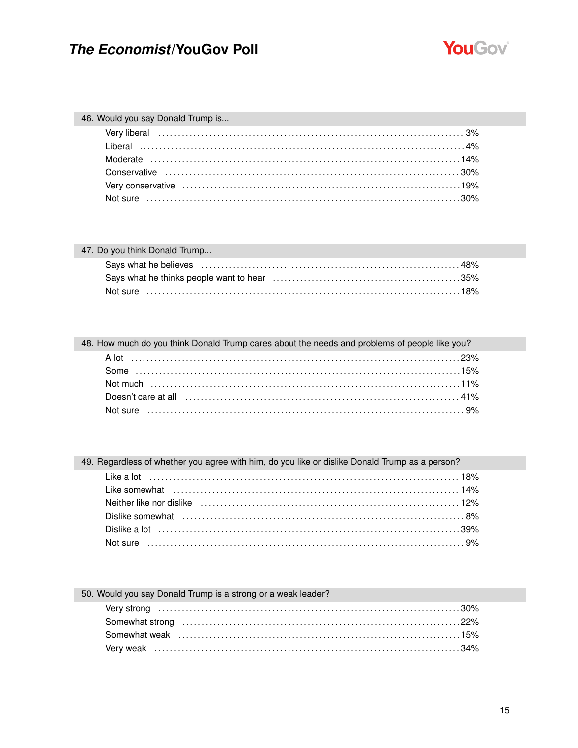

### 46. Would you say Donald Trump is...

| 47. Do you think Donald Trump |  |
|-------------------------------|--|
|                               |  |
|                               |  |
|                               |  |

| 48. How much do you think Donald Trump cares about the needs and problems of people like you? |
|-----------------------------------------------------------------------------------------------|
|                                                                                               |
|                                                                                               |
|                                                                                               |
|                                                                                               |
|                                                                                               |

49. Regardless of whether you agree with him, do you like or dislike Donald Trump as a person?

| Like a lot (1000) 18% and the anti-                                                                             |  |
|-----------------------------------------------------------------------------------------------------------------|--|
|                                                                                                                 |  |
| Neither like nor dislike (and according contained a state of the state of the state of the state of the state o |  |
|                                                                                                                 |  |
|                                                                                                                 |  |
|                                                                                                                 |  |

### 50. Would you say Donald Trump is a strong or a weak leader?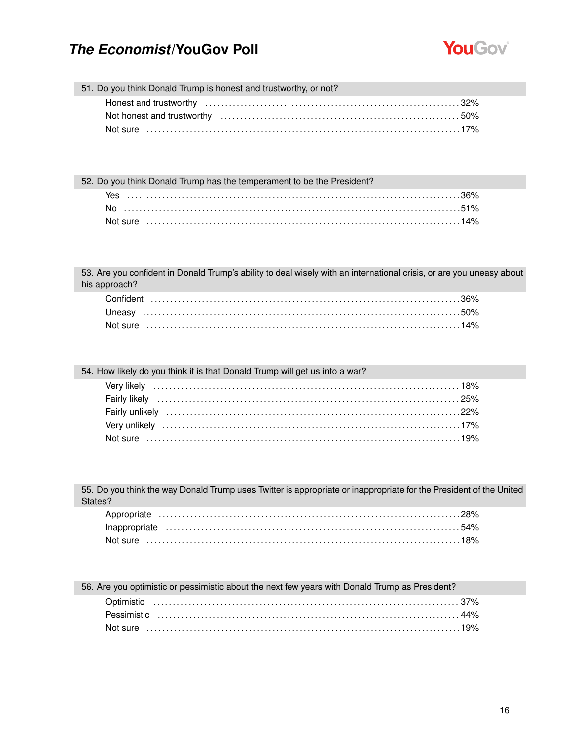

51. Do you think Donald Trump is honest and trustworthy, or not?

52. Do you think Donald Trump has the temperament to be the President?

| Yes      |  |
|----------|--|
| No       |  |
| Not sure |  |

53. Are you confident in Donald Trump's ability to deal wisely with an international crisis, or are you uneasy about his approach?

54. How likely do you think it is that Donald Trump will get us into a war?

55. Do you think the way Donald Trump uses Twitter is appropriate or inappropriate for the President of the United States?

| 56. Are you optimistic or pessimistic about the next few years with Donald Trump as President? |  |
|------------------------------------------------------------------------------------------------|--|
|                                                                                                |  |
|                                                                                                |  |
|                                                                                                |  |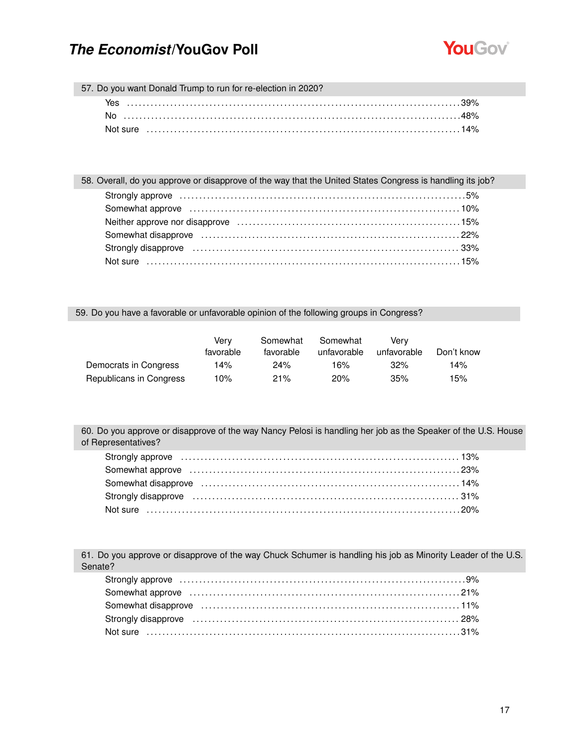

57. Do you want Donald Trump to run for re-election in 2020?

| Yes |  |
|-----|--|
|     |  |
|     |  |

| 58. Overall, do you approve or disapprove of the way that the United States Congress is handling its job?                                                                                                                      |  |
|--------------------------------------------------------------------------------------------------------------------------------------------------------------------------------------------------------------------------------|--|
| Strongly approve masses in the control of the strongly approve the control of the strongly approve the control of the strong strong strong strong strong strong strong strong strong strong strong strong strong strong strong |  |
| Somewhat approve influence in the contract of the contract of the state of the state of the state of the state of the state of the state of the state of the state of the state of the state of the state of the state of the  |  |
|                                                                                                                                                                                                                                |  |
|                                                                                                                                                                                                                                |  |
|                                                                                                                                                                                                                                |  |
|                                                                                                                                                                                                                                |  |

#### 59. Do you have a favorable or unfavorable opinion of the following groups in Congress?

|                         | Verv<br>favorable | Somewhat<br>favorable | Somewhat<br>unfavorable | Verv<br>unfavorable | Don't know |
|-------------------------|-------------------|-----------------------|-------------------------|---------------------|------------|
| Democrats in Congress   | 14%               | 24%                   | 16%                     | 32%                 | 14%        |
| Republicans in Congress | 10%               | 21%                   | 20%                     | 35%                 | 15%        |

60. Do you approve or disapprove of the way Nancy Pelosi is handling her job as the Speaker of the U.S. House of Representatives?

| Strongly approve <i>minimum interioral content and setting approve</i> 13% |  |
|----------------------------------------------------------------------------|--|
|                                                                            |  |
|                                                                            |  |
|                                                                            |  |
|                                                                            |  |

61. Do you approve or disapprove of the way Chuck Schumer is handling his job as Minority Leader of the U.S. Senate?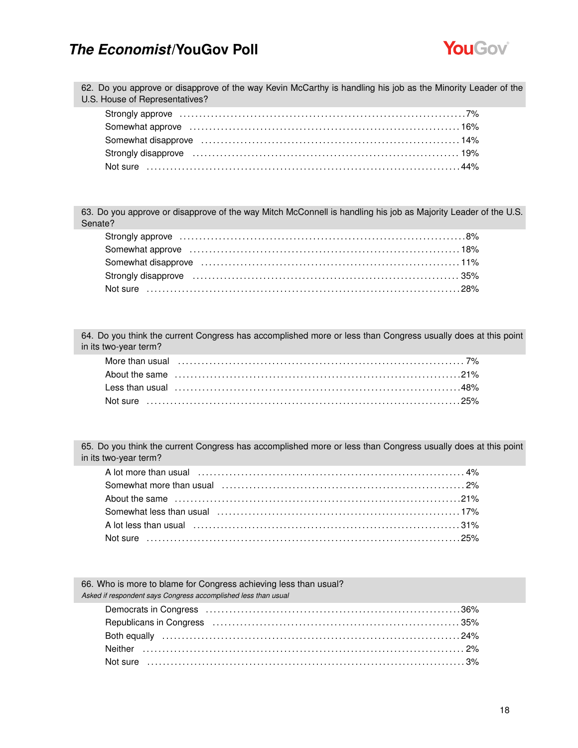

62. Do you approve or disapprove of the way Kevin McCarthy is handling his job as the Minority Leader of the U.S. House of Representatives?

| Somewhat approve encourance encourance and the state of the state of the state of the state of the state of the state of the state of the state of the state of the state of the state of the state of the state of the state  |  |
|--------------------------------------------------------------------------------------------------------------------------------------------------------------------------------------------------------------------------------|--|
| Somewhat disapprove (and the content of the content of the content of the content of the content of the content of the content of the content of the content of the content of the content of the content of the content of th |  |
| Strongly disapprove (and according control of the control of the control of the control of the control of the control of the control of the control of the control of the control of the control of the control of the control |  |
|                                                                                                                                                                                                                                |  |

63. Do you approve or disapprove of the way Mitch McConnell is handling his job as Majority Leader of the U.S. Senate?

| Strongly disapprove material contracts and the contracts of the strongly disapprove materials and the strong strong strong strong strong strong strong strong strong strong strong strong strong strong strong strong strong s |  |
|--------------------------------------------------------------------------------------------------------------------------------------------------------------------------------------------------------------------------------|--|
|                                                                                                                                                                                                                                |  |

64. Do you think the current Congress has accomplished more or less than Congress usually does at this point in its two-year term?

65. Do you think the current Congress has accomplished more or less than Congress usually does at this point in its two-year term?

| A lot more than usual (a) and the contract of the state of the state of the state of the state of the state of the state of the state of the state of the state of the state of the state of the state of the state of the sta |  |
|--------------------------------------------------------------------------------------------------------------------------------------------------------------------------------------------------------------------------------|--|
|                                                                                                                                                                                                                                |  |
|                                                                                                                                                                                                                                |  |
|                                                                                                                                                                                                                                |  |
|                                                                                                                                                                                                                                |  |
|                                                                                                                                                                                                                                |  |

66. Who is more to blame for Congress achieving less than usual? *Asked if respondent says Congress accomplished less than usual*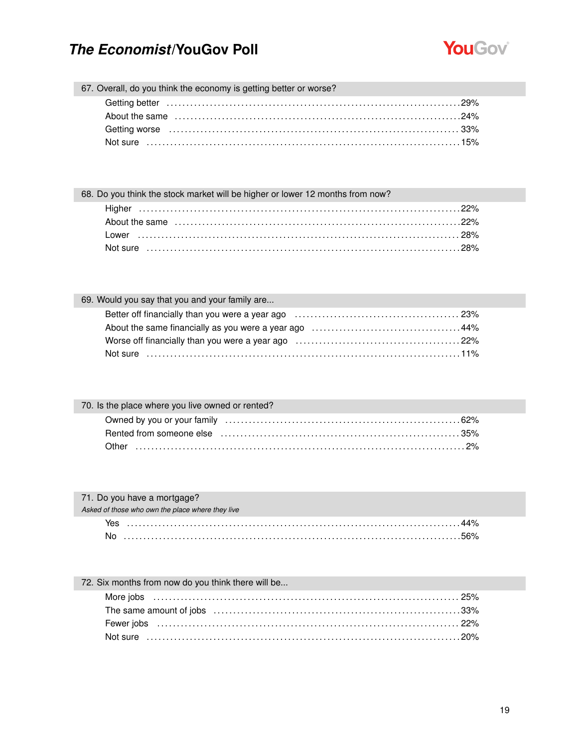

67. Overall, do you think the economy is getting better or worse?

| About the same contained and the same contained a state of the same contained a state of the same contained a s |  |
|-----------------------------------------------------------------------------------------------------------------|--|
|                                                                                                                 |  |
|                                                                                                                 |  |
|                                                                                                                 |  |

| 68. Do you think the stock market will be higher or lower 12 months from now? |  |
|-------------------------------------------------------------------------------|--|
|                                                                               |  |
|                                                                               |  |
|                                                                               |  |
|                                                                               |  |

| 69. Would you say that you and your family are |  |
|------------------------------------------------|--|
|                                                |  |
|                                                |  |
|                                                |  |
|                                                |  |

| 70. Is the place where you live owned or rented? |  |
|--------------------------------------------------|--|
|                                                  |  |
|                                                  |  |
|                                                  |  |

| 71. Do you have a mortgage?                      |  |
|--------------------------------------------------|--|
| Asked of those who own the place where they live |  |
|                                                  |  |
|                                                  |  |

### 72. Six months from now do you think there will be...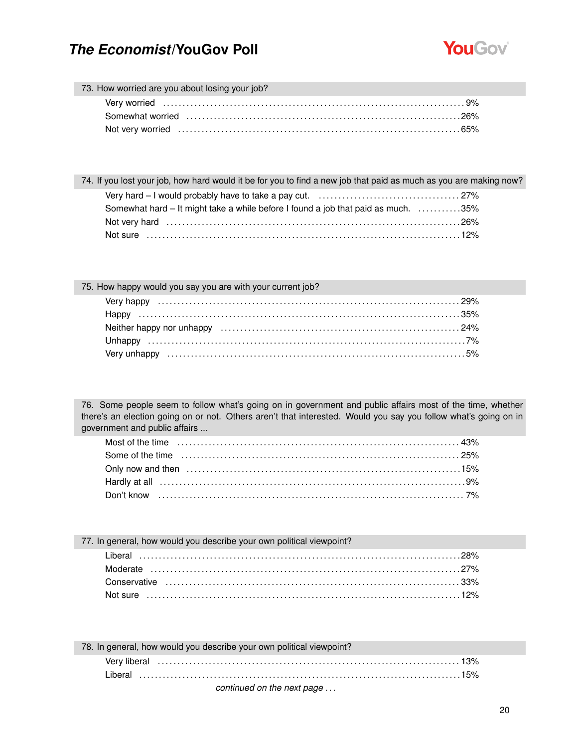

#### 73. How worried are you about losing your job?

| Not very worried measure the contract of the contract of the contract of the contract of the Not very distribution of $55\%$ |  |
|------------------------------------------------------------------------------------------------------------------------------|--|

| 74. If you lost your job, how hard would it be for you to find a new job that paid as much as you are making now? |  |
|-------------------------------------------------------------------------------------------------------------------|--|
|                                                                                                                   |  |
| Somewhat hard – It might take a while before I found a job that paid as much. 35%                                 |  |
|                                                                                                                   |  |
|                                                                                                                   |  |

### 75. How happy would you say you are with your current job? Very happy . . . . . . . . . . . . . . . . . . . . . . . . . . . . . . . . . . . . . . . . . . . . . . . . . . . . . . . . . . . . . . . . . . . . . . . . . . . . . 29% Happy . . . . . . . . . . . . . . . . . . . . . . . . . . . . . . . . . . . . . . . . . . . . . . . . . . . . . . . . . . . . . . . . . . . . . . . . . . . . . . . . . . 35% Neither happy nor unhappy . . . . . . . . . . . . . . . . . . . . . . . . . . . . . . . . . . . . . . . . . . . . . . . . . . . . . . . . . . . . . 24% Unhappy . . . . . . . . . . . . . . . . . . . . . . . . . . . . . . . . . . . . . . . . . . . . . . . . . . . . . . . . . . . . . . . . . . . . . . . . . . . . . . . . . 7% Very unhappy . . . . . . . . . . . . . . . . . . . . . . . . . . . . . . . . . . . . . . . . . . . . . . . . . . . . . . . . . . . . . . . . . . . . . . . . . . . . 5%

76. Some people seem to follow what's going on in government and public affairs most of the time, whether there's an election going on or not. Others aren't that interested. Would you say you follow what's going on in government and public affairs ...

| Some of the time contained and the contact of the time of the time contact and the time of the time of the state of the state of the state of the state of the state of the state of the state of the state of the state of th |  |
|--------------------------------------------------------------------------------------------------------------------------------------------------------------------------------------------------------------------------------|--|
|                                                                                                                                                                                                                                |  |
|                                                                                                                                                                                                                                |  |
|                                                                                                                                                                                                                                |  |

| 77. In general, how would you describe your own political viewpoint? |  |
|----------------------------------------------------------------------|--|
|                                                                      |  |
|                                                                      |  |
|                                                                      |  |
|                                                                      |  |

| 78. In general, how would you describe your own political viewpoint? |
|----------------------------------------------------------------------|
|                                                                      |
|                                                                      |
| continued on the next nage                                           |

#### *continued on the next page . . .*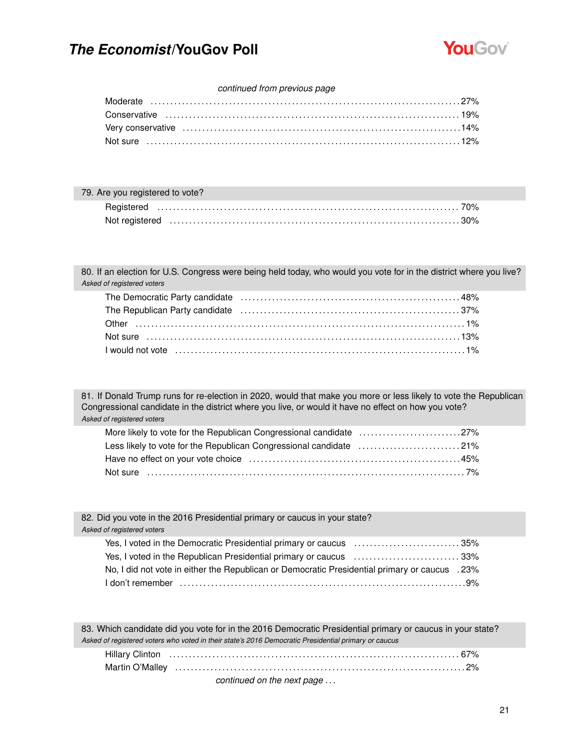

#### *continued from previous page*

| 79. Are you registered to vote? |                                                                                                                                                                                                                                |  |
|---------------------------------|--------------------------------------------------------------------------------------------------------------------------------------------------------------------------------------------------------------------------------|--|
|                                 |                                                                                                                                                                                                                                |  |
|                                 | Not registered in the continuum control of the control of the control of the control of the control of the control of the control of the control of the control of the control of the control of the control of the control of |  |

80. If an election for U.S. Congress were being held today, who would you vote for in the district where you live? *Asked of registered voters*

| The Republican Party candidate (all interactional contracts) and all interacts are set as a state of the Republican Party candidate |  |
|-------------------------------------------------------------------------------------------------------------------------------------|--|
|                                                                                                                                     |  |
|                                                                                                                                     |  |
|                                                                                                                                     |  |

81. If Donald Trump runs for re-election in 2020, would that make you more or less likely to vote the Republican Congressional candidate in the district where you live, or would it have no effect on how you vote? *Asked of registered voters*

| More likely to vote for the Republican Congressional candidate 27% |  |
|--------------------------------------------------------------------|--|
| Less likely to vote for the Republican Congressional candidate 21% |  |
|                                                                    |  |
|                                                                    |  |

| 82. Did you vote in the 2016 Presidential primary or caucus in your state?<br>Asked of registered voters                                                           |
|--------------------------------------------------------------------------------------------------------------------------------------------------------------------|
| Yes, I voted in the Democratic Presidential primary or caucus 35%                                                                                                  |
| Yes, I voted in the Republican Presidential primary or caucus 33%<br>No, I did not vote in either the Republican or Democratic Presidential primary or caucus .23% |
|                                                                                                                                                                    |

| 83. Which candidate did you vote for in the 2016 Democratic Presidential primary or caucus in your state? |
|-----------------------------------------------------------------------------------------------------------|
| Asked of registered voters who voted in their state's 2016 Democratic Presidential primary or caucus      |
|                                                                                                           |
|                                                                                                           |
| continued on the next page                                                                                |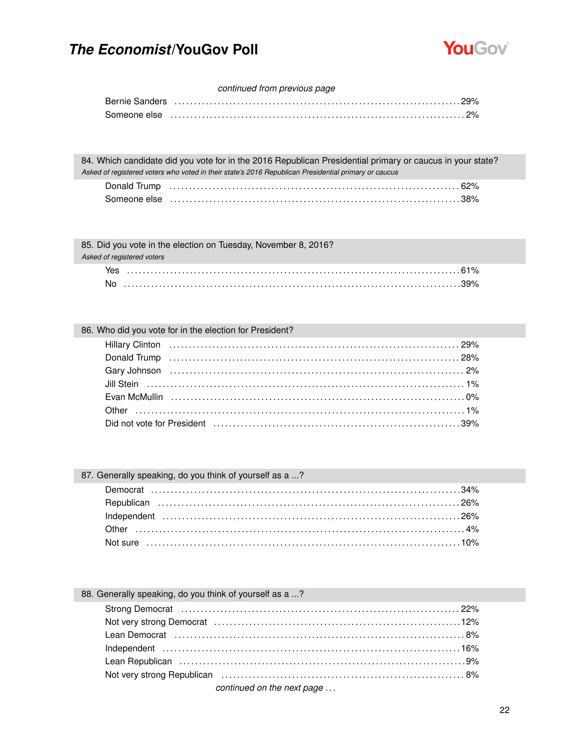

#### continued from previous page

| Bernie Sanders ………………………………………………………………………………29% |
|--------------------------------------------------|
|                                                  |

84. Which candidate did you vote for in the 2016 Republican Presidential primary or caucus in your state? Asked of registered voters who voted in their state's 2016 Republican Presidential primary or caucus

| Someone else |  |
|--------------|--|

| 85. Did you vote in the election on Tuesday, November 8, 2016? |  |  |
|----------------------------------------------------------------|--|--|
| Asked of registered voters                                     |  |  |

| icu on rogiotorcu votoro |  |
|--------------------------|--|
|                          |  |

### 86. Who did you vote for in the election for President?

No ..................................

| Jill Stein (a) and the steam of the steam of the steam of the steam of the steam of the steam of the steam of the steam of the steam of the steam of the steam of the steam of the steam of the steam of the steam of the stea |  |
|--------------------------------------------------------------------------------------------------------------------------------------------------------------------------------------------------------------------------------|--|
|                                                                                                                                                                                                                                |  |
|                                                                                                                                                                                                                                |  |
|                                                                                                                                                                                                                                |  |

### 87. Generally speaking, do you think of yourself as a ...?

### 88. Generally speaking, do you think of yourself as a ...?

| Lean Republican (and according to the set of the set of the set of the set of the set of the set of the set of |  |
|----------------------------------------------------------------------------------------------------------------|--|
|                                                                                                                |  |
| continued on the next nage.                                                                                    |  |

#### continued on the next page ...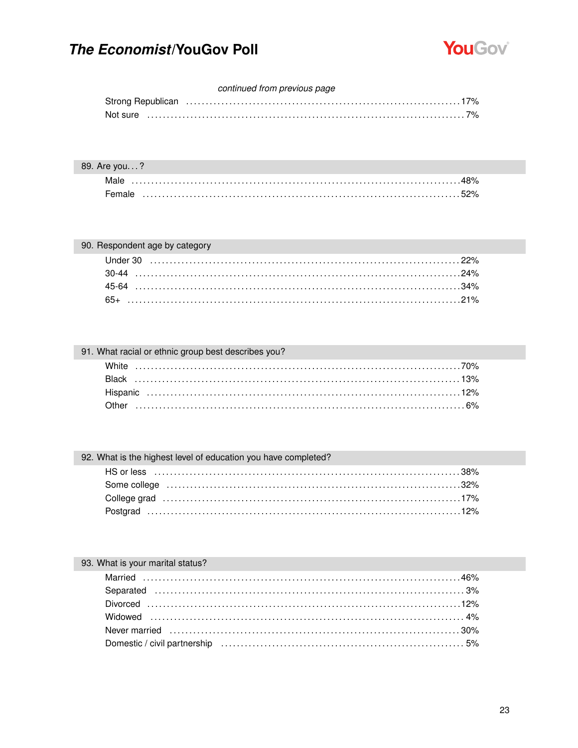

### continued from previous page

### 89. Are you...?

| Female |  |
|--------|--|

### 90. Respondent age by category

### 91. What racial or ethnic group best describes you?

### 92. What is the highest level of education you have completed?

| Some college (and according to the collection of the collection of the college (and according to the collection of the collection of the collection of the collection of the collection of the collection of the collection of |  |
|--------------------------------------------------------------------------------------------------------------------------------------------------------------------------------------------------------------------------------|--|
|                                                                                                                                                                                                                                |  |
|                                                                                                                                                                                                                                |  |

### 93. What is your marital status?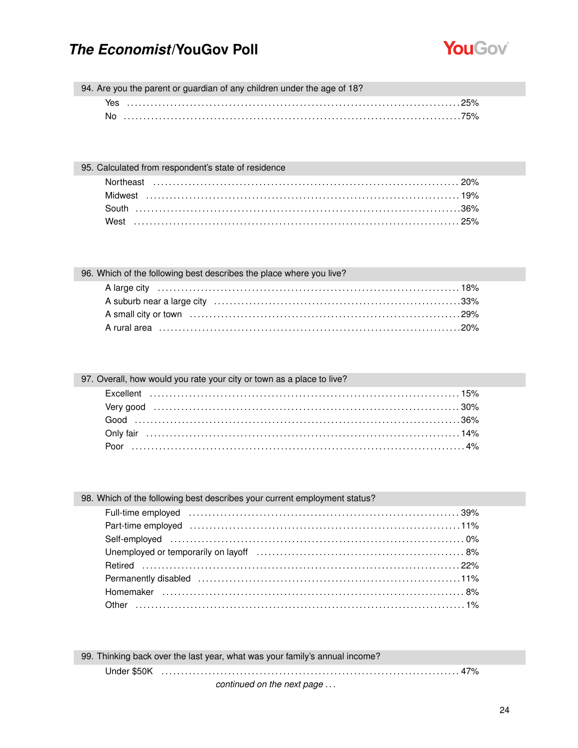

94. Are you the parent or guardian of any children under the age of 18?

| 95. Calculated from respondent's state of residence |  |
|-----------------------------------------------------|--|
|                                                     |  |
|                                                     |  |
|                                                     |  |
|                                                     |  |

| 96. Which of the following best describes the place where you live? |  |
|---------------------------------------------------------------------|--|
|                                                                     |  |
|                                                                     |  |
|                                                                     |  |
| A rural area …………………………………………………………………………………20%                     |  |

| 97. Overall, how would you rate your city or town as a place to live? |  |
|-----------------------------------------------------------------------|--|
|                                                                       |  |
|                                                                       |  |
|                                                                       |  |
|                                                                       |  |
|                                                                       |  |

| 98. Which of the following best describes your current employment status?                                                                                                                                                      |  |
|--------------------------------------------------------------------------------------------------------------------------------------------------------------------------------------------------------------------------------|--|
| Full-time employed (and according to the control of the control of the control of the control of the control of the control of the control of the control of the control of the control of the control of the control of the c |  |
|                                                                                                                                                                                                                                |  |
|                                                                                                                                                                                                                                |  |
|                                                                                                                                                                                                                                |  |
|                                                                                                                                                                                                                                |  |
|                                                                                                                                                                                                                                |  |
|                                                                                                                                                                                                                                |  |
|                                                                                                                                                                                                                                |  |

99. Thinking back over the last year, what was your family's annual income?

continued on the next page ...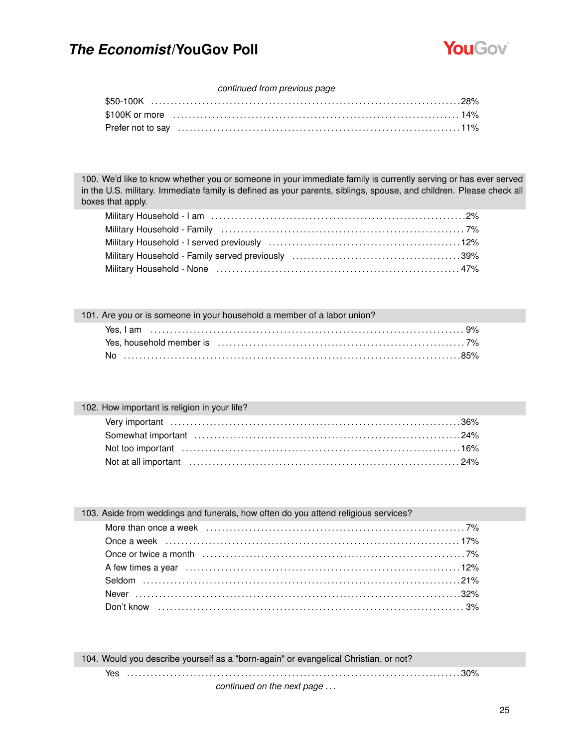

### *continued from previous page*

| Prefer not to say with the continuum control of the control of the control of the control of the control of the control of the control of the control of the control of the control of the control of the control of the contr |  |
|--------------------------------------------------------------------------------------------------------------------------------------------------------------------------------------------------------------------------------|--|

100. We'd like to know whether you or someone in your immediate family is currently serving or has ever served in the U.S. military. Immediate family is defined as your parents, siblings, spouse, and children. Please check all boxes that apply.

| 101. Are you or is someone in your household a member of a labor union? |  |  |                                                                                                                                                                                                                                |
|-------------------------------------------------------------------------|--|--|--------------------------------------------------------------------------------------------------------------------------------------------------------------------------------------------------------------------------------|
|                                                                         |  |  |                                                                                                                                                                                                                                |
|                                                                         |  |  | Yes, household member is encourance contained a strategie of the system of the system of the system of the system of the system of the system of the system of the system of the system of the system of the system of the sys |
|                                                                         |  |  |                                                                                                                                                                                                                                |

### 102. How important is religion in your life?

| Not at all important (a) contain the control of the control of the control of the control of the control of the control of the control of the control of the control of the control of the control of the control of the contr |  |
|--------------------------------------------------------------------------------------------------------------------------------------------------------------------------------------------------------------------------------|--|

| 103. Aside from weddings and funerals, how often do you attend religious services? |  |
|------------------------------------------------------------------------------------|--|
|                                                                                    |  |
|                                                                                    |  |
|                                                                                    |  |
|                                                                                    |  |
|                                                                                    |  |
|                                                                                    |  |
|                                                                                    |  |
|                                                                                    |  |

| 104. Would you describe yourself as a "born-again" or evangelical Christian, or not? |  |  |  |
|--------------------------------------------------------------------------------------|--|--|--|
|                                                                                      |  |  |  |
| continued on the next page                                                           |  |  |  |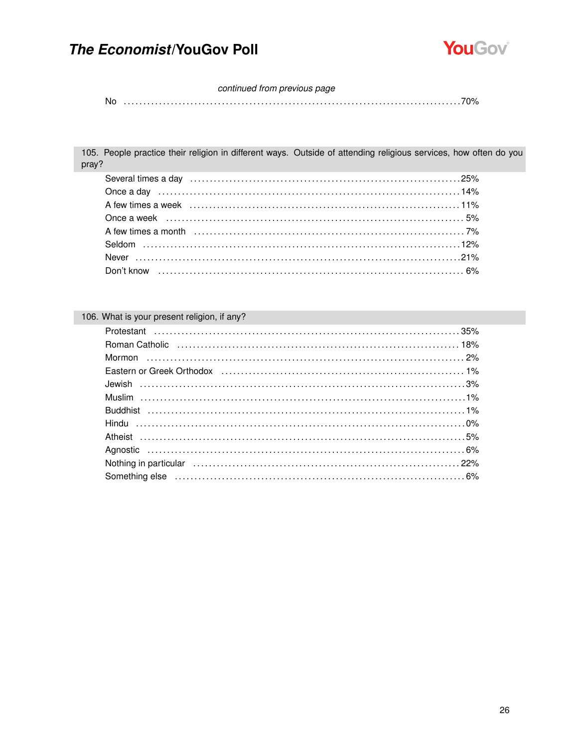

#### continued from previous page

| Νc |  |  |  |  |
|----|--|--|--|--|
|----|--|--|--|--|

105. People practice their religion in different ways. Outside of attending religious services, how often do you pray?

### 106. What is your present religion, if any?

| Eastern or Greek Orthodox (and according controller controller and the 1% of the case of the case of the case o |
|-----------------------------------------------------------------------------------------------------------------|
|                                                                                                                 |
|                                                                                                                 |
|                                                                                                                 |
|                                                                                                                 |
|                                                                                                                 |
|                                                                                                                 |
|                                                                                                                 |
|                                                                                                                 |
|                                                                                                                 |